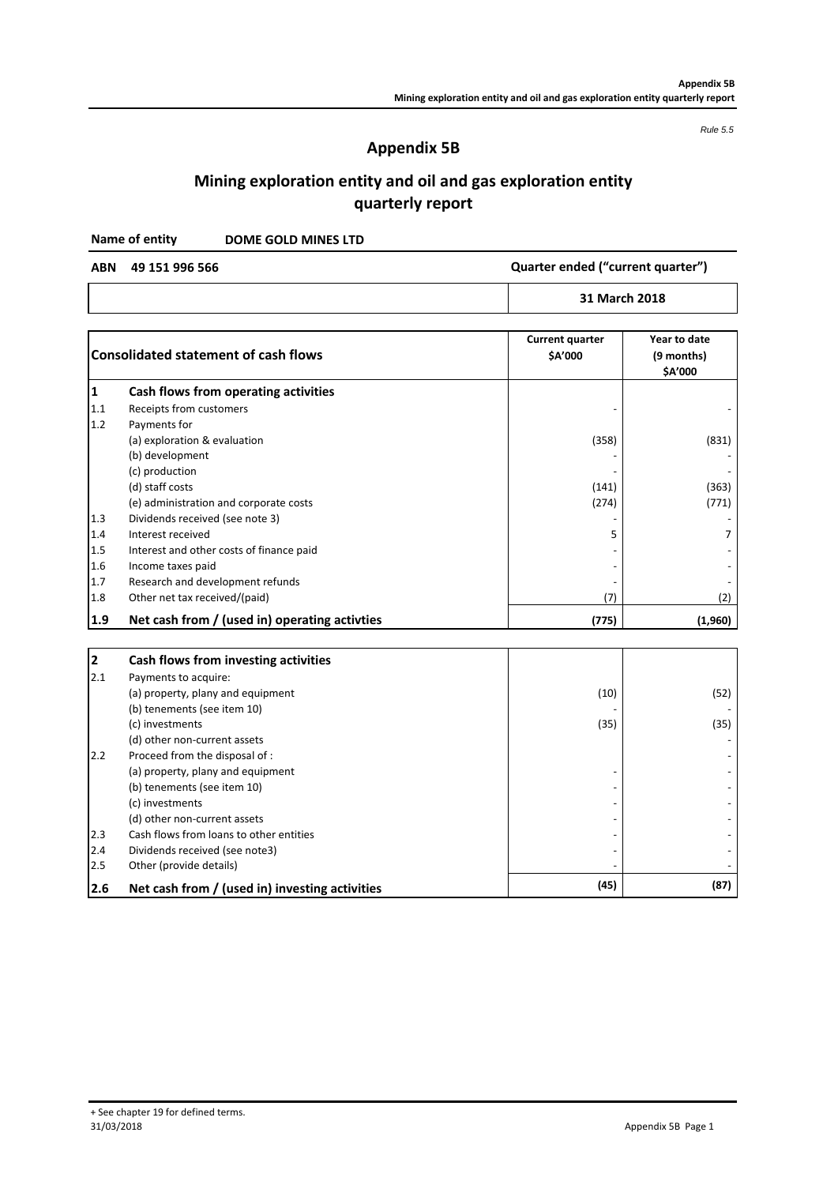*Rule 5.5*

### **Appendix 5B**

# **Mining exploration entity and oil and gas exploration entity quarterly report**

**DOME GOLD MINES LTD Name of entity**

**ABN 49 151 996 566**

**31 March 2018**

**Quarter ended ("current quarter")**

| <b>Consolidated statement of cash flows</b> |                                               | <b>Current quarter</b><br>\$A'000 | Year to date<br>(9 months)<br>\$A'000 |
|---------------------------------------------|-----------------------------------------------|-----------------------------------|---------------------------------------|
|                                             | Cash flows from operating activities          |                                   |                                       |
| 1.1                                         | Receipts from customers                       |                                   |                                       |
| 1.2                                         | Payments for                                  |                                   |                                       |
|                                             | (a) exploration & evaluation                  | (358)                             | (831)                                 |
|                                             | (b) development                               |                                   |                                       |
|                                             | (c) production                                |                                   |                                       |
|                                             | (d) staff costs                               | (141)                             | (363)                                 |
|                                             | (e) administration and corporate costs        | (274)                             | (771)                                 |
| 1.3                                         | Dividends received (see note 3)               |                                   |                                       |
| 1.4                                         | Interest received                             | 5                                 |                                       |
| 1.5                                         | Interest and other costs of finance paid      |                                   |                                       |
| 1.6                                         | Income taxes paid                             |                                   |                                       |
| 1.7                                         | Research and development refunds              |                                   |                                       |
| 1.8                                         | Other net tax received/(paid)                 | (7)                               | (2)                                   |
| 1.9                                         | Net cash from / (used in) operating activties | (775)                             | (1,960)                               |

| 2   | Cash flows from investing activities           |      |      |
|-----|------------------------------------------------|------|------|
| 2.1 | Payments to acquire:                           |      |      |
|     | (a) property, plany and equipment              | (10) | (52) |
|     | (b) tenements (see item 10)                    |      |      |
|     | (c) investments                                | (35) | (35) |
|     | (d) other non-current assets                   |      |      |
| 2.2 | Proceed from the disposal of :                 |      |      |
|     | (a) property, plany and equipment              |      |      |
|     | (b) tenements (see item 10)                    |      |      |
|     | (c) investments                                |      |      |
|     | (d) other non-current assets                   |      |      |
| 2.3 | Cash flows from loans to other entities        |      |      |
| 2.4 | Dividends received (see note3)                 |      |      |
| 2.5 | Other (provide details)                        |      |      |
| 2.6 | Net cash from / (used in) investing activities | (45) | (87) |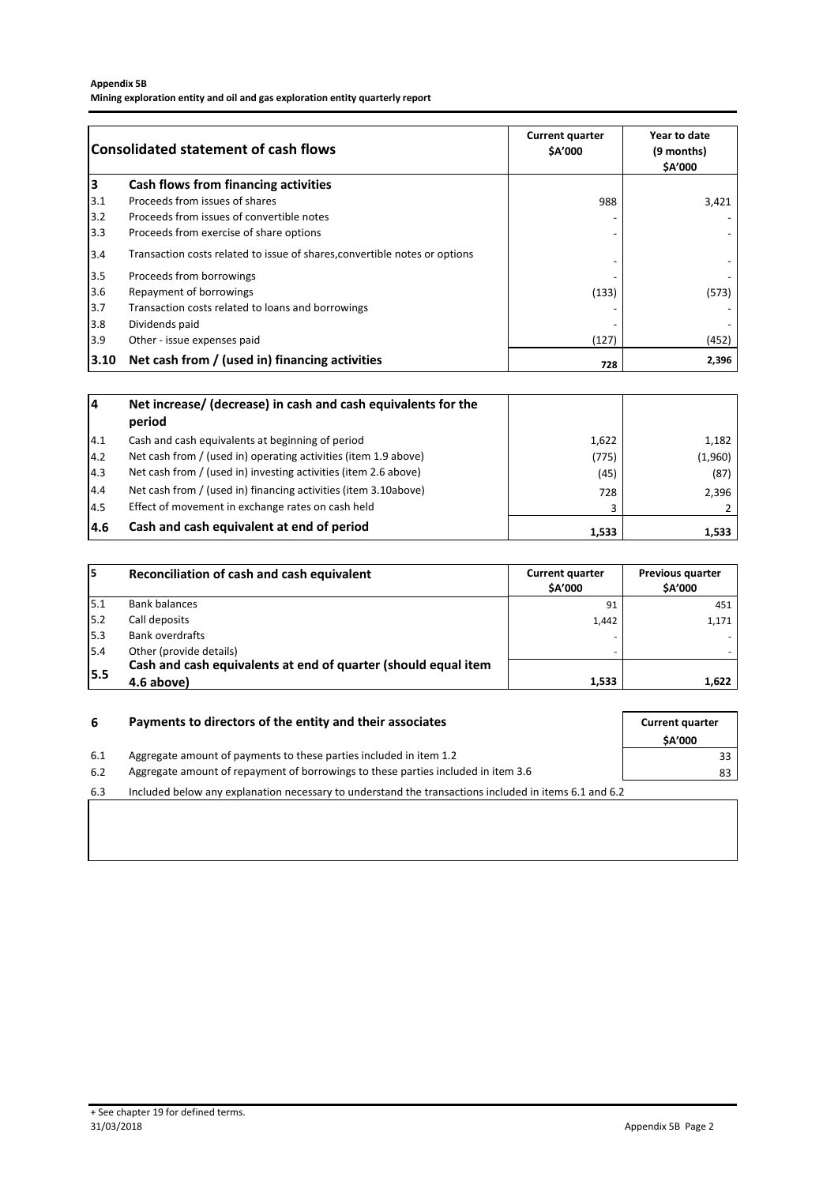### **Appendix 5B**

**Mining exploration entity and oil and gas exploration entity quarterly report**

|      | <b>Consolidated statement of cash flows</b>                                | <b>Current quarter</b><br>\$A'000 | Year to date<br>(9 months)<br><b>SA'000</b> |  |
|------|----------------------------------------------------------------------------|-----------------------------------|---------------------------------------------|--|
| 13   | Cash flows from financing activities                                       |                                   |                                             |  |
| 3.1  | Proceeds from issues of shares                                             | 988                               | 3,421                                       |  |
| 3.2  | Proceeds from issues of convertible notes                                  |                                   |                                             |  |
| 3.3  | Proceeds from exercise of share options                                    |                                   |                                             |  |
| 3.4  | Transaction costs related to issue of shares, convertible notes or options |                                   |                                             |  |
| 3.5  | Proceeds from borrowings                                                   |                                   |                                             |  |
| 3.6  | Repayment of borrowings                                                    | (133)                             | (573)                                       |  |
| 3.7  | Transaction costs related to loans and borrowings                          |                                   |                                             |  |
| 3.8  | Dividends paid                                                             |                                   |                                             |  |
| 3.9  | Other - issue expenses paid                                                | (127)                             | (452)                                       |  |
| 3.10 | Net cash from / (used in) financing activities                             | 728                               | 2,396                                       |  |

| 14         | Net increase/ (decrease) in cash and cash equivalents for the   |       |         |
|------------|-----------------------------------------------------------------|-------|---------|
|            | period                                                          |       |         |
| 4.1        | Cash and cash equivalents at beginning of period                | 1,622 | 1,182   |
| 4.2        | Net cash from / (used in) operating activities (item 1.9 above) | (775) | (1,960) |
| 4.3        | Net cash from / (used in) investing activities (item 2.6 above) | (45)  | (87)    |
| 4.4        | Net cash from / (used in) financing activities (item 3.10above) | 728   | 2,396   |
| 4.5        | Effect of movement in exchange rates on cash held               |       |         |
| <b>4.6</b> | Cash and cash equivalent at end of period                       | 1,533 | 1.533   |

| 15   | Reconciliation of cash and cash equivalent                     | <b>Current quarter</b><br><b>SA'000</b> | <b>Previous quarter</b><br><b>SA'000</b> |
|------|----------------------------------------------------------------|-----------------------------------------|------------------------------------------|
| 5.1  | <b>Bank balances</b>                                           | 91                                      | 451                                      |
| 5.2  | Call deposits                                                  | 1.442                                   | 1,171                                    |
| 15.3 | Bank overdrafts                                                |                                         |                                          |
| 15.4 | Other (provide details)                                        |                                         |                                          |
|      | Cash and cash equivalents at end of quarter (should equal item |                                         |                                          |
| 5.5  | 4.6 above)                                                     | 1,533                                   | 1,622                                    |

| -6  | Payments to directors of the entity and their associates                                              | <b>Current quarter</b><br><b>SA'000</b> |
|-----|-------------------------------------------------------------------------------------------------------|-----------------------------------------|
| 6.1 | Aggregate amount of payments to these parties included in item 1.2                                    | 33                                      |
| 6.2 | Aggregate amount of repayment of borrowings to these parties included in item 3.6                     | 83                                      |
| 6.3 | Included below any explanation necessary to understand the transactions included in items 6.1 and 6.2 |                                         |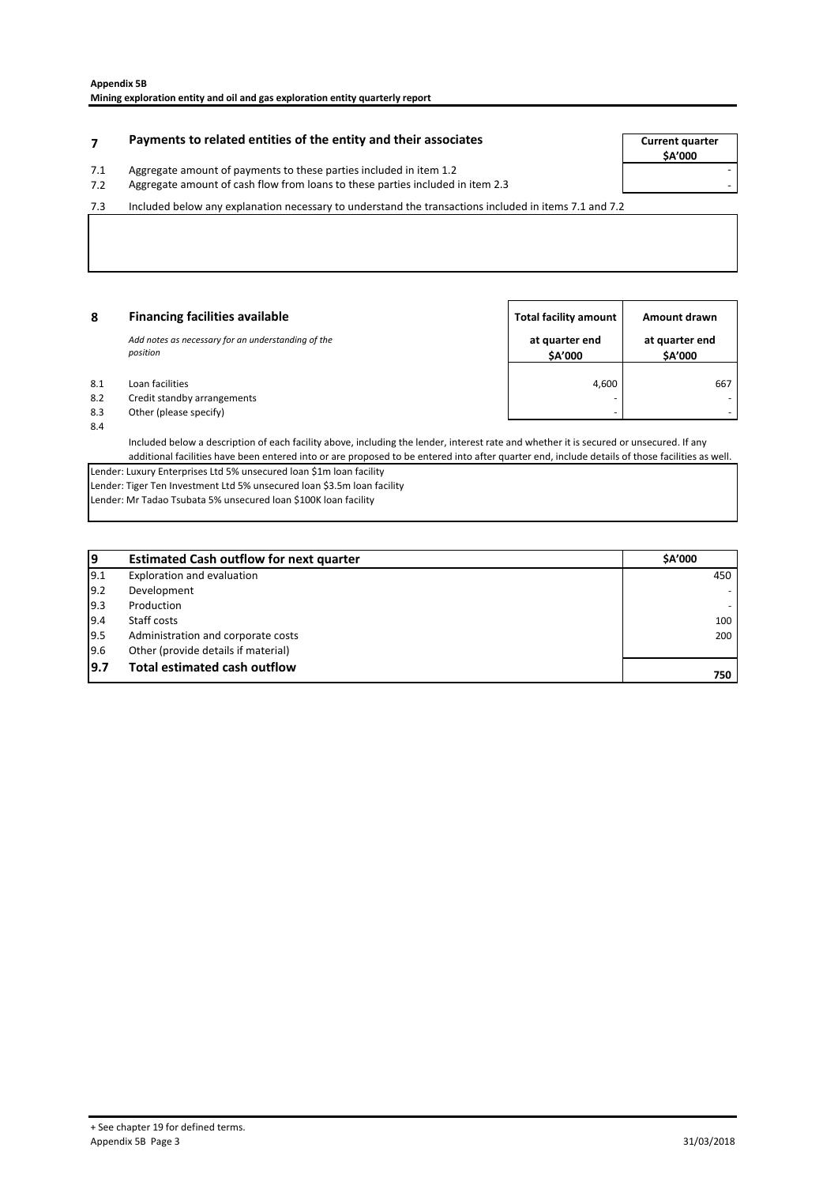## **Payments to related entities of the entity and their associates The Current quarter**

### 7.1 Aggregate amount of payments to these parties included in item 1.2

7.2 Aggregate amount of cash flow from loans to these parties included in item 2.3

7.3 Included below any explanation necessary to understand the transactions included in items 7.1 and 7.2

| 8          | <b>Financing facilities available</b>                          | Total facility amount     |                           |
|------------|----------------------------------------------------------------|---------------------------|---------------------------|
|            | Add notes as necessary for an understanding of the<br>position | at quarter end<br>\$A'000 | at quarter end<br>\$A'000 |
| 8.1        | Loan facilities                                                | 4.600                     | 667                       |
| 8.2<br>8.3 | Credit standby arrangements<br>Other (please specify)          |                           |                           |

8.4

Included below a description of each facility above, including the lender, interest rate and whether it is secured or unsecured. If any additional facilities have been entered into or are proposed to be entered into after quarter end, include details of those facilities as well.

Lender: Luxury Enterprises Ltd 5% unsecured loan \$1m loan facility

Lender: Tiger Ten Investment Ltd 5% unsecured loan \$3.5m loan facility Lender: Mr Tadao Tsubata 5% unsecured loan \$100K loan facility

| <u>9</u> | <b>Estimated Cash outflow for next quarter</b> | <b>SA'000</b> |
|----------|------------------------------------------------|---------------|
| 9.1      | Exploration and evaluation                     | 450           |
| 9.2      | Development                                    |               |
| 9.3      | Production                                     |               |
| 9.4      | Staff costs                                    | 100           |
| 9.5      | Administration and corporate costs             | 200           |
| 9.6      | Other (provide details if material)            |               |
| 9.7      | <b>Total estimated cash outflow</b>            | 750           |

**\$A'000**